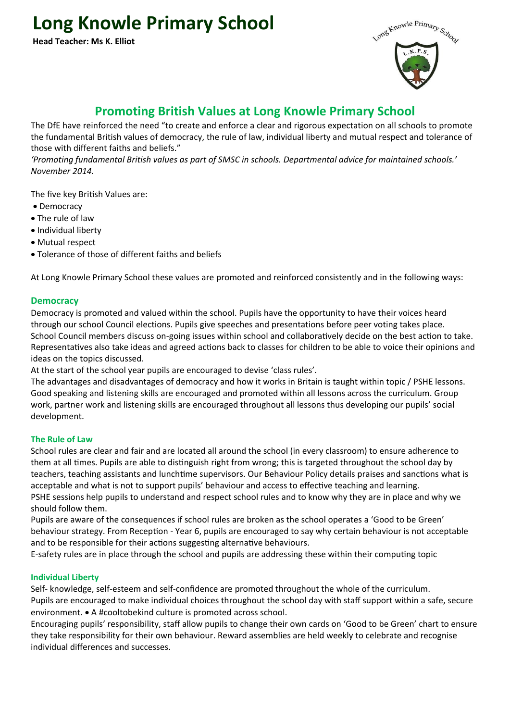# **Long Knowle Primary School**

**Head Teacher: Ms K. Elliot**



## **Promoting British Values at Long Knowle Primary School**

The DfE have reinforced the need "to create and enforce a clear and rigorous expectation on all schools to promote the fundamental British values of democracy, the rule of law, individual liberty and mutual respect and tolerance of those with different faiths and beliefs."

*'Promoting fundamental British values as part of SMSC in schools. Departmental advice for maintained schools.' November 2014.*

The five key British Values are:

- Democracy
- The rule of law
- Individual liberty
- Mutual respect
- Tolerance of those of different faiths and beliefs

At Long Knowle Primary School these values are promoted and reinforced consistently and in the following ways:

### **Democracy**

Democracy is promoted and valued within the school. Pupils have the opportunity to have their voices heard through our school Council elections. Pupils give speeches and presentations before peer voting takes place. School Council members discuss on-going issues within school and collaboratively decide on the best action to take. Representatives also take ideas and agreed actions back to classes for children to be able to voice their opinions and ideas on the topics discussed.

At the start of the school year pupils are encouraged to devise 'class rules'.

The advantages and disadvantages of democracy and how it works in Britain is taught within topic / PSHE lessons. Good speaking and listening skills are encouraged and promoted within all lessons across the curriculum. Group work, partner work and listening skills are encouraged throughout all lessons thus developing our pupils' social development.

#### **The Rule of Law**

School rules are clear and fair and are located all around the school (in every classroom) to ensure adherence to them at all times. Pupils are able to distinguish right from wrong; this is targeted throughout the school day by teachers, teaching assistants and lunchtime supervisors. Our Behaviour Policy details praises and sanctions what is acceptable and what is not to support pupils' behaviour and access to effective teaching and learning. PSHE sessions help pupils to understand and respect school rules and to know why they are in place and why we should follow them.

Pupils are aware of the consequences if school rules are broken as the school operates a 'Good to be Green' behaviour strategy. From Reception - Year 6, pupils are encouraged to say why certain behaviour is not acceptable and to be responsible for their actions suggesting alternative behaviours.

E-safety rules are in place through the school and pupils are addressing these within their computing topic

#### **Individual Liberty**

Self- knowledge, self-esteem and self-confidence are promoted throughout the whole of the curriculum. Pupils are encouraged to make individual choices throughout the school day with staff support within a safe, secure environment. • A #cooltobekind culture is promoted across school.

Encouraging pupils' responsibility, staff allow pupils to change their own cards on 'Good to be Green' chart to ensure they take responsibility for their own behaviour. Reward assemblies are held weekly to celebrate and recognise individual differences and successes.